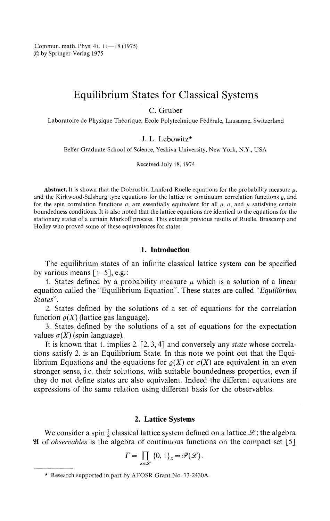Commun. math. Phys. 41, 11—18 (1975) © by Springer-Verlag 1975

# Equilibrium States for Classical Systems

C. Gruber

Laboratoire de Physique Théorique, Ecole Polytechnique Fédérale, Lausanne, Switzerland

### J. L. Lebowitz\*

Belfer Graduate School of Science, Yeshiva University, New York, N.Y, USA

Received July 18, 1974

**Abstract.** It is shown that the Dobrushin-Lanford-Ruelle equations for the probability measure  $\mu$ , and the Kirkwood-Salsburg type equations for the lattice or continuum correlation functions  $\rho$ , and for the spin correlation functions  $\sigma$ , are essentially equivalent for all  $\rho$ ,  $\sigma$ , and  $\mu$  satisfying certain boundedness conditions. It is also noted that the lattice equations are identical to the equations for the stationary states of a certain Markoff process. This extends previous results of Ruelle, Brascamp and Holley who proved some of these equivalences for states.

## **1. Introduction**

The equilibrium states of an infinite classical lattice system can be specified by various means  $\lceil 1-5 \rceil$ , e.g.:

1. States defined by a probability measure  $\mu$  which is a solution of a linear equation called the "Equilibrium Equation". These states are called *"Equilibrium States".*

*2.* States defined by the solutions of a set of equations for the correlation function  $\rho(X)$  (lattice gas language).

3. States defined by the solutions of a set of equations for the expectation values  $\sigma(X)$  (spin language).

It is known that 1. implies 2. [2, 3,4] and conversely any *state* whose correla tions satisfy 2. is an Equilibrium State. In this note we point out that the Equi librium Equations and the equations for  $\rho(X)$  or  $\sigma(X)$  are equivalent in an even stronger sense, i.e. their solutions, with suitable boundedness properties, even if they do not define states are also equivalent. Indeed the different equations are expressions of the same relation using different basis for the observables.

### **2. Lattice Systems**

We consider a spin  $\frac{1}{2}$  classical lattice system defined on a lattice  $\mathscr{L}$ ; the algebra of *observables* is the algebra of continuous functions on the compact set [5]

$$
\Gamma = \prod_{x \in \mathscr{L}} \{0, 1\}_x = \mathscr{P}(\mathscr{L}).
$$

<sup>\*</sup> Research supported in part by AFOSR Grant No. 73-2430A.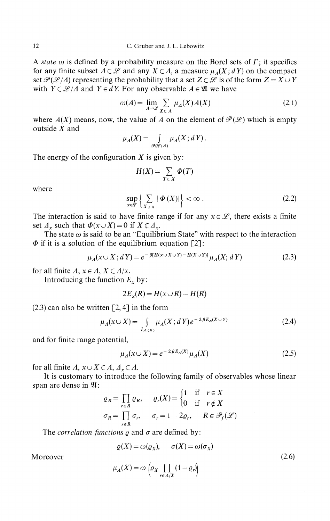A *state ω* is defined by a probability measure on the Borel sets of Γ; it specifies for any finite subset  $\Lambda \subset \mathcal{L}$  and any  $X \subset \Lambda$ , a measure  $\mu_A(X; dY)$  on the compact set  $\mathcal{P}(\mathcal{L}/\Lambda)$  representing the probability that a set  $Z \subset \mathcal{L}$  is of the form  $Z = X \cup Y$ with  $Y \subset \mathcal{L}/A$  and  $Y \in dY$ . For any observable  $A \in \mathfrak{A}$  we have

$$
\omega(A) = \lim_{A \to \mathcal{L}} \sum_{X \subset A} \mu_A(X) A(X) \tag{2.1}
$$

where  $A(X)$  means, now, the value of A on the element of  $\mathcal{P}(\mathcal{L})$  which is empty outside *X* and

$$
\mu_A(X) = \int_{\mathscr{P}(\mathscr{L}/A)} \mu_A(X; dY)
$$

The energy of the configuration *X* is given by:

$$
H(X) = \sum_{T \subset X} \Phi(T)
$$

where

$$
\sup_{x \in \mathscr{L}} \left\{ \sum_{X \ni x} |\varPhi(X)| \right\} < \infty \,. \tag{2.2}
$$

The interaction is said to have finite range if for any  $x \in \mathcal{L}$ , there exists a finite set  $\Lambda_x$  such that  $\Phi(x \cup X) = 0$  if  $X \notin \Lambda_x$ .

The state  $\omega$  is said to be an "Equilibrium State" with respect to the interaction  $\Phi$  if it is a solution of the equilibrium equation [2]:

$$
\mu_A(x \cup X; dY) = e^{-\beta [H(x \cup X \cup Y) - H(X \cup Y)]} \mu_A(X; dY)
$$
\n(2.3)

for all finite  $\Lambda$ ,  $x \in \Lambda$ ,  $X \subset \Lambda/x$ .

Introducing the function  $E_x$  by:

$$
2E_x(R) = H(x \cup R) - H(R)
$$

 $(2.3)$  can also be written  $[2, 4]$  in the form

$$
\mu_A(x \cup X) = \int_{I_{A}(x)} \mu_A(X; dY) e^{-2\beta E_x(X \cup Y)} \tag{2.4}
$$

and for finite range potential,

$$
\mu_A(x \cup X) = e^{-2\beta E_x(X)} \mu_A(X) \tag{2.5}
$$

for all finite  $\Lambda$ ,  $x \cup X \subset \Lambda$ ,  $\Lambda_x \subset \Lambda$ .

It is customary to introduce the following family of observables whose linear span are dense in  $\mathfrak{A}$ :

$$
\varrho_R = \prod_{r \in R} \varrho_R, \qquad \varrho_r(X) = \begin{cases} 1 & \text{if } r \in X \\ 0 & \text{if } r \notin X \end{cases}
$$
\n
$$
\sigma_R = \prod_{r \in R} \sigma_r, \qquad \sigma_r = 1 - 2\varrho_r, \qquad R \in \mathcal{P}_f(\mathcal{L})
$$

The *correlation functions ρ* and σ are defined by:

 $\rho(X) = \omega(\rho_X), \quad \sigma(X) = \omega(\sigma_X)$ 

Moreover (2.6)

$$
\mu_A(X) = \omega \left( \varrho_X \prod_{r \in A/X} (1 - \varrho_r) \right)
$$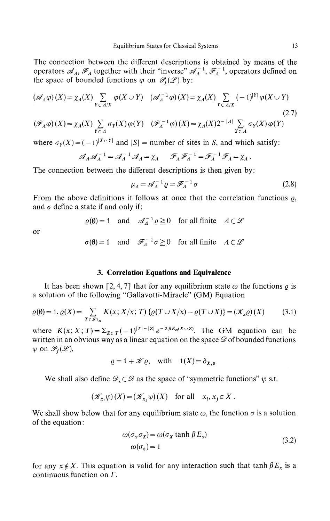The connection between the different descriptions is obtained by means of the operators  $\mathscr{A}_A$ ,  $\mathscr{F}_A$  together with their "inverse"  $\mathscr{A}_A^{-1}$ ,  $\mathscr{F}_A^{-1}$ , operators defined on the space of bounded functions  $\varphi$  on  $\mathcal{P}_f(\mathcal{L})$  by:

$$
(\mathscr{A}_A \varphi)(X) = \chi_A(X) \sum_{Y \subset A/X} \varphi(X \cup Y) \quad (\mathscr{A}_A^{-1} \varphi)(X) = \chi_A(X) \sum_{Y \subset A/X} (-1)^{|Y|} \varphi(X \cup Y)
$$
\n(2.7)

$$
(\mathscr{F}_A \varphi)(X) = \chi_A(X) \sum_{Y \subset A} \sigma_Y(X) \varphi(Y) \quad (\mathscr{F}_A^{-1} \varphi)(X) = \chi_A(X) 2^{-|A|} \sum_{Y \subset A} \sigma_Y(X) \varphi(Y)
$$

where  $\sigma_Y(X) = (-1)^{|X \cap Y|}$  and  $|S|$  = number of sites in *S*, and which satisfy:

$$
\mathscr{A}_A \mathscr{A}_A^{-1} = \mathscr{A}_A^{-1} \mathscr{A}_A = \chi_A \qquad \mathscr{F}_A \mathscr{F}_A^{-1} = \mathscr{F}_A^{-1} \mathscr{F}_A = \chi_A.
$$

The connection between the different descriptions is then given by:

$$
\mu_A = \mathcal{A}_A^{-1} \varrho = \mathcal{F}_A^{-1} \sigma \tag{2.8}
$$

From the above definitions it follows at once that the correlation functions  $\rho$ , and *σ* define a state if and only if:

$$
\varrho(\emptyset) = 1
$$
 and  $\mathcal{A}_A^{-1} \varrho \ge 0$  for all finite  $\Lambda \subset \mathcal{L}$ 

or

$$
\sigma(\emptyset) = 1
$$
 and  $\mathscr{F}_A^{-1} \sigma \ge 0$  for all finite  $\Lambda \subset \mathscr{L}$ 

### **3. Correlation Equations and Equivalence**

It has been shown [2, 4, 7] that for any equilibrium state  $\omega$  the functions  $\rho$  is a solution of the following "Gallavotti-Miracle" (GM) Equation

$$
\varrho(\emptyset) = 1, \varrho(X) = \sum_{T \in \mathscr{L}|_X} K(x; X/x; T) \left\{ \varrho(T \cup X/x) - \varrho(T \cup X) \right\} = (\mathscr{K}_x \varrho)(X) \tag{3.1}
$$

where  $K(x; X; T) = \sum_{Z \subset T} (-1)^{|T| - |Z|} e^{-2\beta E_x(X \cup Z)}$ . The GM equation can be written in an obvious way as a linear equation on the space  $\mathscr D$  of bounded functions  $\psi$  on  $\mathscr{P}_f(\mathscr{L}),$ 

$$
\varrho = 1 + \mathcal{K}\varrho, \quad \text{with} \quad 1(X) = \delta_{X,\vartheta}
$$

We shall also define  $\mathscr{D}_s \subset \mathscr{D}$  as the space of "symmetric functions"  $\psi$  s.t.

$$
(\mathcal{K}_{x_i}\psi)(X) = (\mathcal{K}_{x_i}\psi)(X) \quad \text{for all} \quad x_i, x_j \in X \, .
$$

We shall show below that for any equilibrium state  $\omega$ , the function  $\sigma$  is a solution of the equation:

$$
\omega(\sigma_x \sigma_x) = \omega(\sigma_x \tanh \beta E_x)
$$
  
 
$$
\omega(\sigma_{\theta}) = 1
$$
 (3.2)

for any  $x \notin X$ . This equation is valid for any interaction such that tanh  $\beta E_x$  is a continuous function on Γ.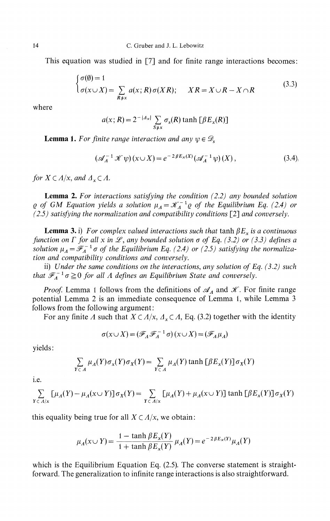This equation was studied in [7] and for finite range interactions becomes:

$$
\begin{cases} \sigma(\emptyset) = 1 \\ \sigma(x \cup X) = \sum_{R \neq x} a(x; R) \sigma(XR); \quad XR = X \cup R - X \cap R \end{cases}
$$
 (3.3)

where

$$
a(x; R) = 2^{-|A_x|} \sum_{S \neq x} \sigma_s(R) \tanh \left[\beta E_x(R)\right]
$$

**Lemma 1.** For finite range interaction and any  $\psi \in \mathscr{D}_s$ 

$$
\left(\mathscr{A}_A^{-1}\mathscr{K}\,\psi\right)(x\cup X) = e^{-2\,\beta E_x(X)}\left(\mathscr{A}_A^{-1}\,\psi\right)(X)\,,\tag{3.4}
$$

*for*  $X \subset A/x$ *, and*  $A$ <sup>*x*</sup> $\subset A$ *.* 

**Lemma 2.** *For interactions satisfying the condition (2.2) any bounded solution of GM Equation yields a solution*  $\mu_A = \mathcal{K}_A^{-1} \varrho$  *of the Equilibrium Eq. (2.4) or (2.5) satisfying the normalization and compatibility conditions* [2] *and conversely.*

**Lemma 3.** i) *For complex valued interactions such that* tanh *βE<sup>x</sup> is a continuous function on Γ for all x in*  $\mathcal{L}$ *, any bounded solution*  $\sigma$  *of Eq. (3.2) or (3.3) defines a solution*  $\mu_A = \mathscr{F}_A^{-1} \sigma$  *of the Equilibrium Eq. (2.4) or (2.5) satisfying the normalization and compatibility conditions and conversely.*

ii) *Under the same conditions on the interactions, any solution of Eq. (3.2) such that*  $\mathscr{F}_A^{-1} \sigma \geq 0$  *for all A defines an Equilibrium State and conversely.* 

*Proof.* Lemma 1 follows from the definitions of  $\mathscr{A}_A$  and  $\mathscr{K}$ . For finite range potential Lemma 2 is an immediate consequence of Lemma 1, while Lemma 3 follows from the following argument :

For any finite *A* such that *X* C *Λ/x, Λ<sup>x</sup>* C *Λ,* Eq. (3.2) together with the identity

$$
\sigma(x \cup X) = (\mathscr{F}_A \mathscr{F}_A^{-1} \sigma)(x \cup X) = (\mathscr{F}_A \mu_A)
$$

yields:

$$
\sum_{Y \subset A} \mu_A(Y) \sigma_x(Y) \sigma_X(Y) = \sum_{Y \subset A} \mu_A(Y) \tanh \left[ \beta E_x(Y) \right] \sigma_X(Y)
$$

i.e.

$$
\sum_{Y \subset A/x} \left[ \mu_A(Y) - \mu_A(x \cup Y) \right] \sigma_X(Y) = \sum_{Y \subset A/x} \left[ \mu_A(Y) + \mu_A(x \cup Y) \right] \tanh \left[ \beta E_x(Y) \right] \sigma_X(Y)
$$

this equality being true for all  $X \subset A/x$ , we obtain:

$$
\mu_A(x \cup Y) = \frac{1 - \tanh \beta E_x(Y)}{1 + \tanh \beta E_x(Y)} \mu_A(Y) = e^{-2\beta E_x(Y)} \mu_A(Y)
$$

which is the Equilibrium Equation Eq. (2.5). The converse statement is straightforward. The generalization to infinite range interactions is also straightforward.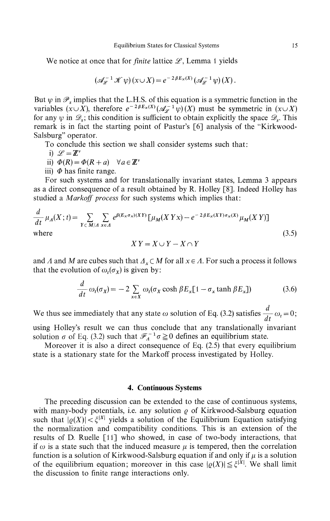We notice at once that for *finite* lattice  $\mathcal{L}$ , Lemma 1 yields

$$
(\mathscr{A}_{\mathscr{L}}^{-1}\mathscr{K}\psi)(x\cup X)=e^{-2\beta E_x(X)}(\mathscr{A}_{\mathscr{L}}^{-1}\psi)(X).
$$

But  $\psi$  in  $\mathscr{P}_s$  implies that the L.H.S. of this equation is a symmetric function in the variables  $(x \cup X)$ , therefore  $e^{-2\beta E_x(X)}(\mathscr{A}_{\mathscr{L}}^{-1} \psi)(X)$  must be symmetric in  $(x \cup X)$ for any  $\psi$  in  $\mathscr{D}_s$ ; this condition is sufficient to obtain explicitly the space  $\mathscr{D}_s$ . This remark is in fact the starting point of Pastur's [6] analysis of the "Kirkwood Salsburg" operator.

To conclude this section we shall consider systems such that:

i) 
$$
\mathscr{L} = \mathbb{Z}^n
$$

ii) 
$$
\Phi(R) = \Phi(R + a) \quad \forall a \in \mathbb{Z}^{\nu}
$$

iii) *Φ* has finite range.

For such systems and for translationally invariant states, Lemma 3 appears as a direct consequence of a result obtained by R. Holley [8]. Indeed Holley has studied a *Markoff process* for such systems which implies that:

$$
\frac{d}{dt} \mu_A(X;t) = \sum_{Y \subset M/A} \sum_{x \in A} e^{\beta (E_X \sigma_X)(XY)} \left[ \mu_M(X \, Yx) - e^{-2\beta E_X(XY)\sigma_X(X)} \mu_M(X \, Y) \right]
$$
\nwhere

\n
$$
XY = X \cup Y - X \cap Y
$$
\n(3.5)

and *A* and *M* are cubes such that *Δ<sup>x</sup>* C *M* for all *x* **e** *A.* For such a process it follows that the evolution of  $\omega_t(\sigma_X)$  is given by:

$$
\frac{d}{dt} \omega_t(\sigma_X) = -2 \sum_{x \in X} \omega_t(\sigma_X \cosh \beta E_x[1 - \sigma_x \tanh \beta E_x])
$$
 (3.6)

We thus see immediately that any state  $\omega$  solution of Eq. (3.2) satisfies  $\frac{\omega}{dt} \omega_t = 0$ ;

using Holley's result we can thus conclude that any translationally invariant solution  $\sigma$  of Eq. (3.2) such that  $\mathscr{F}_A^{-1} \sigma \ge 0$  defines an equilibrium state.

Moreover it is also a direct consequence of Eq. (2.5) that every equilibrium state is a stationary state for the Markoff process investigated by Holley.

#### **4. Continuous Systems**

The preceding discussion can be extended to the case of continuous systems, with many-body potentials, i.e. any solution *ρ* of Kirkwood-Salsburg equation such that  $|\varrho(X)| < \xi^{|X|}$  yields a solution of the Equilibrium Equation satisfying the normalization and compatibility conditions. This is an extension of the results of D. Ruelle [11] who showed, in case of two-body interactions, that if  $\omega$  is a state such that the induced measure  $\mu$  is tempered, then the correlation function is a solution of Kirkwood-Salsburg equation if and only if *μ* is a solution of the equilibrium equation; moreover in this case  $|\rho(X)| \leq \zeta^{|X|}$ . We shall limit the discussion to finite range interactions only.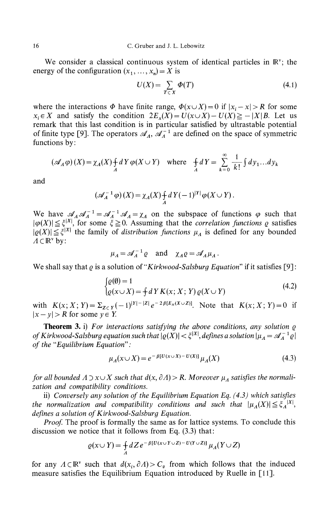We consider a classical continuous system of identical particles in  $\mathbb{R}^v$ ; the energy of the configuration  $(x_1, ..., x_n) = X$  is

$$
U(X) = \sum_{T \subset X} \Phi(T) \tag{4.1}
$$

where the interactions  $\Phi$  have finite range,  $\Phi(x \cup X) = 0$  if  $|x_i - x| > R$  for some  $x_i \in X$  and satisfy the condition  $2E_x(X) = U(x \cup X) - U(X) \ge -|X|B$ . Let us remark that this last condition is in particular satisfied by ultrastable potential of finite type [9]. The operators  $\mathscr{A}_A$ ,  $\mathscr{A}_A^{-1}$  are defined on the space of symmetric functions by:

$$
(\mathscr{A}_A \varphi)(X) = \chi_A(X) + dY \varphi(X \cup Y) \quad \text{where} \quad \frac{d}{d}X = \sum_{k=0}^{\infty} \frac{1}{k!} \int dy_1 \dots dy_k
$$

and

$$
\left(\mathscr{A}_A^{-1}\varphi\right)(X) = \chi_A(X) + \frac{1}{A}dY(-1)^{|Y|}\varphi(X \cup Y).
$$

We have  $\mathscr{A}_A \mathscr{A}_A^{-1} = \mathscr{A}_A^{-1} \mathscr{A}_A = \chi_A$  on the subspace of functions  $\varphi$  such that *\* ≤  $\xi$ <sup>|*x*</sup></sub> *for some*  $\xi$  ≥ *0.* Assuming that the *correlation functions ρ* satisfies  $|\leq \xi^{|X|}$  the family of *distribution functions*  $\mu_A$  is defined for any bounded  $\Lambda \subset \mathbb{R}^{\nu}$  by:

$$
\mu_A = \mathscr{A}_A^{-1} \varrho
$$
 and  $\chi_A \varrho = \mathscr{A}_A \mu_A$ .

We shall say that *ρ* is a solution of *"Kirkwood-Salsburg Equation"* if it satisfies [9]:

$$
\begin{cases} \varrho(\emptyset) = 1 \\ \varrho(x \cup X) = \frac{1}{T} dY K(x; X; Y) \varrho(X \cup Y) \end{cases} \tag{4.2}
$$

with  $K(x; X; Y) = \sum_{Z \subset Y} (-1)^{|Y| - |Z|} e^{-2\beta [E_x(X \cup Z)]}$ . Note that  $K(x; X; Y) = 0$  if  $|x - y| > R$  for some  $y \in Y$ .

**Theorem 3.** i) *For interactions satisfying the above conditions, any solution ρ of Kirkwood-Salsburg equation such that*  $|\rho(X)| < \xi^{|X|}$ , defines a solution  $|\mu_A = \mathcal{A}_A^{-1} \rho|$ *of the "Equilibrium Equation":*

$$
\mu_A(x \cup X) = e^{-\beta [U(x \cup X) - U(X)]} \mu_A(X)
$$
\n(4.3)

*for all bounded*  $\Lambda \supset x \cup X$  such that  $d(x, \partial \Lambda) > R$ . Moreover  $\mu_A$  satisfies the normali*zation and compatibility conditions.*

ii) *Conversely any solution of the Equilibrium Equation Eq. (4.3) which satisfies the normalization and compatibility conditions and such that*  $|\mu_A(X)| \leq \xi_A^{|X|}$ *defines a solution of Kirkwood-Salsburg Equation.*

*Proof.* The proof is formally the same as for lattice systems. To conclude this discussion we notice that it follows from Eq. (3.3) that:

$$
\varrho(x \cup Y) = \int_A dZ \, e^{-\beta [U(x \cup Y \cup Z) - U(Y \cup Z)]} \, \mu_A(Y \cup Z)
$$

for any  $\Lambda \subset \mathbb{R}^{\nu}$  such that  $d(x_i, \partial \Lambda) > C_{\theta}$  from which follows that the induced measure satisfies the Equilibrium Equation introduced by Ruelle in [11].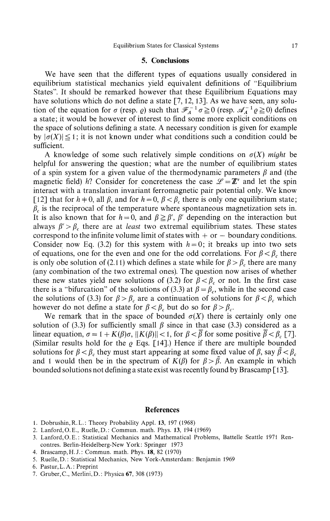#### **5. Conclusions**

We have seen that the different types of equations usually considered in equilibrium statistical mechanics yield equivalent definitions of "Equilibrium States". It should be remarked however that these Equilibrium Equations may have solutions which do not define a state [7, 12, 13]. As we have seen, any solution of the equation for  $\sigma$  (resp.  $\varrho$ ) such that  $\mathscr{F}_{A}^{-1}\sigma \ge 0$  (resp.  $\mathscr{A}_{A}^{-1}\varrho \ge 0$ ) defines a state; it would be however of interest to find some more explicit conditions on the space of solutions defining a state. A necessary condition is given for example by  $|\sigma(X)| \leq 1$ ; it is not known under what conditions such a condition could be sufficient.

A knowledge of some such relatively simple conditions on  $\sigma(X)$  *might* be helpful for answering the question; what are the number of equilibrium states of a spin system for a given value of the thermodynamic parameters *β* and (the magnetic field) *h?* Consider for concreteness the case  $\mathscr{L} = \mathbb{Z}^{\nu}$  and let the spin interact with a translation invariant ferromagnetic pair potential only. We know [12] that for  $h \neq 0$ , all  $\beta$ , and for  $h = 0$ ,  $\beta < \beta_c$  there is only one equilibrium state; *c* is the reciprocal of the temperature where spontaneous magnetization sets in. It is also known that for  $h = 0$ , and  $\beta \geq \beta'$ ,  $\beta'$  depending on the interaction but always  $\beta' > \beta_c$  there are at *least* two extremal equilibrium states. These states correspond to the infinite volume limit of states with  $+$  or  $-$  boundary conditions. Consider now Eq. (3.2) for this system with  $h = 0$ ; it breaks up into two sets of equations, one for the even and one for the odd correlations. For  $\beta < \beta_c$ , there is only obe solution of (2.11) which defines a state while for  $\beta > \beta_c$  there are many (any combination of the two extremal ones). The question now arises of whether these new states yield new solutions of (3.2) for  $\beta < \beta_c$  or not. In the first case there is a "bifurcation" of the solutions of (3.3) at  $\beta = \beta_c$ , while in the second case the solutions of (3.3) for  $\beta > \beta_c$  are a continuation of solutions for  $\beta < \beta_c$  which however do not define a state for  $\beta < \beta_c$  but do so for  $\beta > \beta_c$ .

We remark that in the space of bounded  $\sigma(X)$  there is certainly only one solution of (3.3) for sufficiently small  $\beta$  since in that case (3.3) considered as a linear equation,  $\sigma = 1 + K(\beta)\sigma$ ,  $\|K(\beta)\| < 1$ , for  $\beta < \beta$  for some positive  $\beta < \beta_c$  [7]. (Similar results hold for the *ρ* Eqs. [14].) Hence if there are multiple bounded solutions for  $\beta < \beta_c$  they must start appearing at some fixed value of  $\beta$ , say  $\beta < \beta_c$ and 1 would then be in the spectrum of  $K(\beta)$  for  $\beta > \tilde{\beta}$ . An example in which bounded solutions not defining a state exist was recently found by Brascamp [13].

#### **References**

- 1. Dobrushin,R.L.: Theory Probability Appl. 13, 197 (1968)
- 2. Lanford,O.E., Ruelle,D.: Commun. math. Phys. 13, 194 (1969)
- 3. Lanford,O.E.: Statistical Mechanics and Mathematical Problems, Battelle Seattle 1971 Ren contres. Berlin-Heidelberg-New York: Springer 1973
- 4. Brascamp, H.J.: Commun. math. Phys. 18, 82 (1970)
- 5. Ruelle,D.: Statistical Mechanics, New York-Amsterdam: Benjamin 1969
- 6. Pastur, L. A.: Preprint
- 7. Gruber,C, Merlini,D.: Physica 67, 308 (1973)